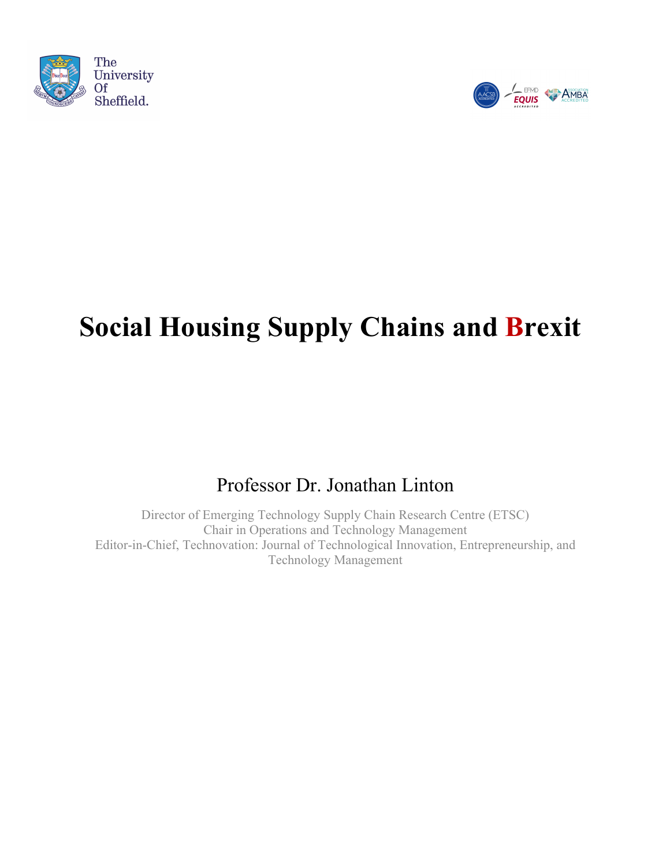



# **Social Housing Supply Chains and Brexit**

# Professor Dr. Jonathan Linton

Director of Emerging Technology Supply Chain Research Centre (ETSC) Chair in Operations and Technology Management Editor-in-Chief, Technovation: Journal of Technological Innovation, Entrepreneurship, and Technology Management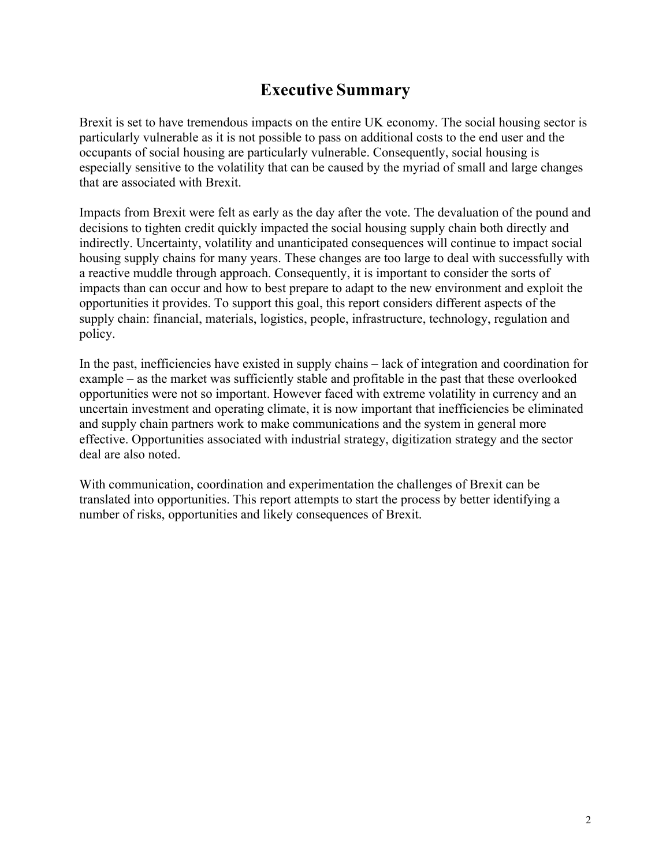# **Executive Summary**

Brexit is set to have tremendous impacts on the entire UK economy. The social housing sector is particularly vulnerable as it is not possible to pass on additional costs to the end user and the occupants of social housing are particularly vulnerable. Consequently, social housing is especially sensitive to the volatility that can be caused by the myriad of small and large changes that are associated with Brexit.

Impacts from Brexit were felt as early as the day after the vote. The devaluation of the pound and decisions to tighten credit quickly impacted the social housing supply chain both directly and indirectly. Uncertainty, volatility and unanticipated consequences will continue to impact social housing supply chains for many years. These changes are too large to deal with successfully with a reactive muddle through approach. Consequently, it is important to consider the sorts of impacts than can occur and how to best prepare to adapt to the new environment and exploit the opportunities it provides. To support this goal, this report considers different aspects of the supply chain: financial, materials, logistics, people, infrastructure, technology, regulation and policy.

In the past, inefficiencies have existed in supply chains – lack of integration and coordination for example – as the market was sufficiently stable and profitable in the past that these overlooked opportunities were not so important. However faced with extreme volatility in currency and an uncertain investment and operating climate, it is now important that inefficiencies be eliminated and supply chain partners work to make communications and the system in general more effective. Opportunities associated with industrial strategy, digitization strategy and the sector deal are also noted.

With communication, coordination and experimentation the challenges of Brexit can be translated into opportunities. This report attempts to start the process by better identifying a number of risks, opportunities and likely consequences of Brexit.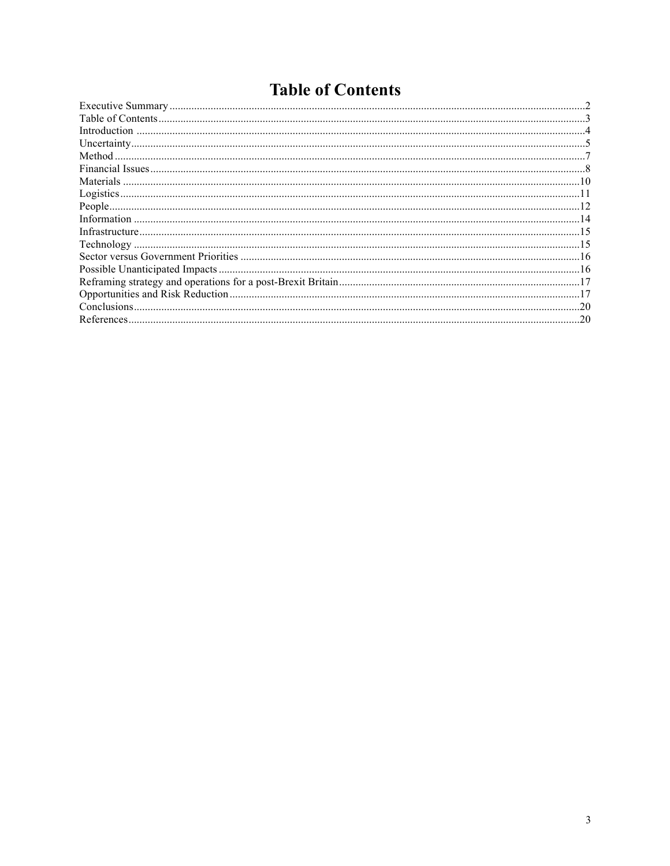# **Table of Contents**

| Conclusions. | .20 |
|--------------|-----|
|              | .20 |
|              |     |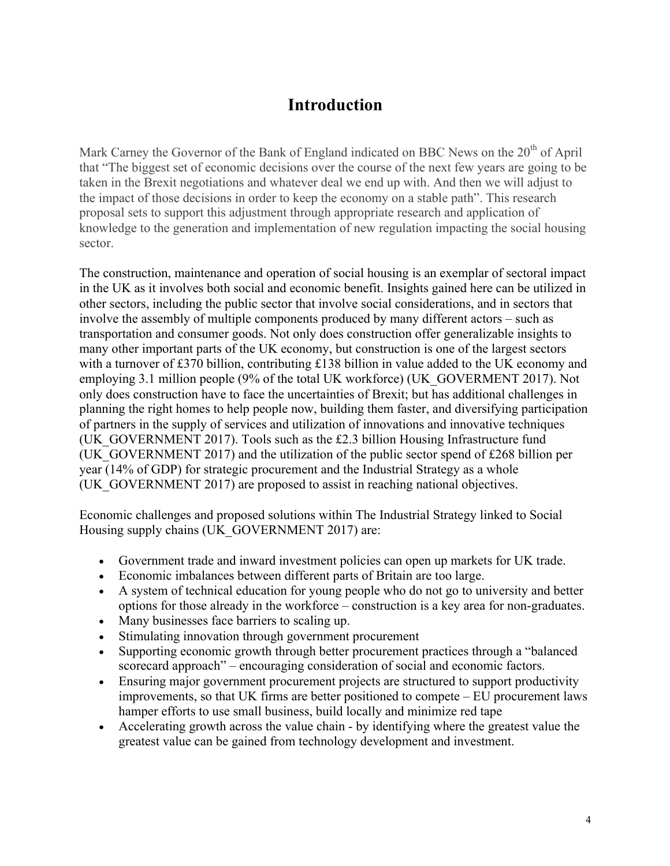# **Introduction**

Mark Carney the Governor of the Bank of England indicated on BBC News on the 20<sup>th</sup> of April that "The biggest set of economic decisions over the course of the next few years are going to be taken in the Brexit negotiations and whatever deal we end up with. And then we will adjust to the impact of those decisions in order to keep the economy on a stable path". This research proposal sets to support this adjustment through appropriate research and application of knowledge to the generation and implementation of new regulation impacting the social housing sector.

The construction, maintenance and operation of social housing is an exemplar of sectoral impact in the UK as it involves both social and economic benefit. Insights gained here can be utilized in other sectors, including the public sector that involve social considerations, and in sectors that involve the assembly of multiple components produced by many different actors – such as transportation and consumer goods. Not only does construction offer generalizable insights to many other important parts of the UK economy, but construction is one of the largest sectors with a turnover of £370 billion, contributing £138 billion in value added to the UK economy and employing 3.1 million people (9% of the total UK workforce) (UK\_GOVERMENT 2017). Not only does construction have to face the uncertainties of Brexit; but has additional challenges in planning the right homes to help people now, building them faster, and diversifying participation of partners in the supply of services and utilization of innovations and innovative techniques (UK\_GOVERNMENT 2017). Tools such as the £2.3 billion Housing Infrastructure fund (UK\_GOVERNMENT 2017) and the utilization of the public sector spend of  $£268$  billion per year (14% of GDP) for strategic procurement and the Industrial Strategy as a whole (UK\_GOVERNMENT 2017) are proposed to assist in reaching national objectives.

Economic challenges and proposed solutions within The Industrial Strategy linked to Social Housing supply chains (UK\_GOVERNMENT 2017) are:

- Government trade and inward investment policies can open up markets for UK trade.
- Economic imbalances between different parts of Britain are too large.
- A system of technical education for young people who do not go to university and better options for those already in the workforce – construction is a key area for non-graduates.
- Many businesses face barriers to scaling up.
- Stimulating innovation through government procurement
- Supporting economic growth through better procurement practices through a "balanced scorecard approach" – encouraging consideration of social and economic factors.
- Ensuring major government procurement projects are structured to support productivity improvements, so that UK firms are better positioned to compete – EU procurement laws hamper efforts to use small business, build locally and minimize red tape
- Accelerating growth across the value chain by identifying where the greatest value the greatest value can be gained from technology development and investment.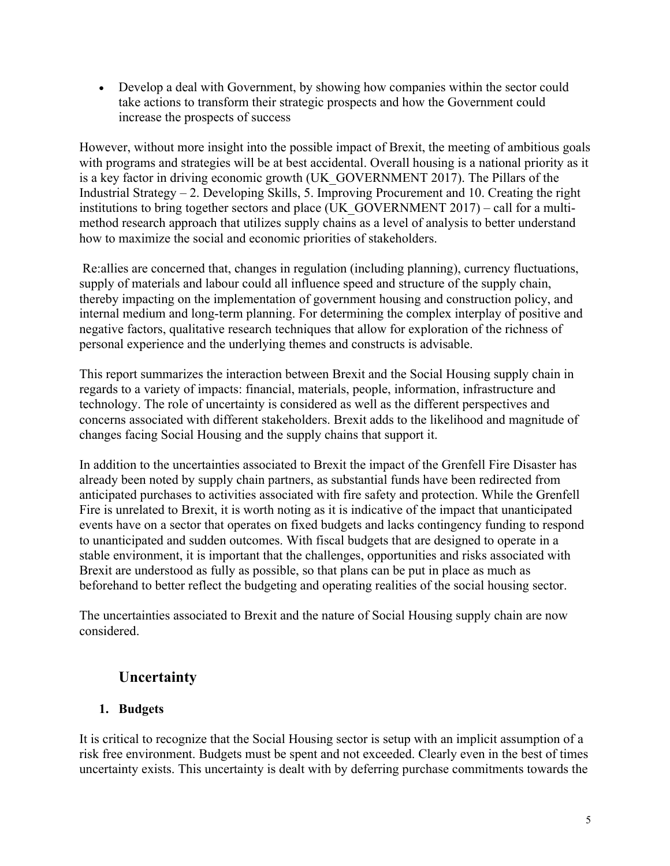• Develop a deal with Government, by showing how companies within the sector could take actions to transform their strategic prospects and how the Government could increase the prospects of success

However, without more insight into the possible impact of Brexit, the meeting of ambitious goals with programs and strategies will be at best accidental. Overall housing is a national priority as it is a key factor in driving economic growth (UK\_GOVERNMENT 2017). The Pillars of the Industrial Strategy – 2. Developing Skills, 5. Improving Procurement and 10. Creating the right institutions to bring together sectors and place (UK\_GOVERNMENT 2017) – call for a multimethod research approach that utilizes supply chains as a level of analysis to better understand how to maximize the social and economic priorities of stakeholders.

Re:allies are concerned that, changes in regulation (including planning), currency fluctuations, supply of materials and labour could all influence speed and structure of the supply chain, thereby impacting on the implementation of government housing and construction policy, and internal medium and long-term planning. For determining the complex interplay of positive and negative factors, qualitative research techniques that allow for exploration of the richness of personal experience and the underlying themes and constructs is advisable.

This report summarizes the interaction between Brexit and the Social Housing supply chain in regards to a variety of impacts: financial, materials, people, information, infrastructure and technology. The role of uncertainty is considered as well as the different perspectives and concerns associated with different stakeholders. Brexit adds to the likelihood and magnitude of changes facing Social Housing and the supply chains that support it.

In addition to the uncertainties associated to Brexit the impact of the Grenfell Fire Disaster has already been noted by supply chain partners, as substantial funds have been redirected from anticipated purchases to activities associated with fire safety and protection. While the Grenfell Fire is unrelated to Brexit, it is worth noting as it is indicative of the impact that unanticipated events have on a sector that operates on fixed budgets and lacks contingency funding to respond to unanticipated and sudden outcomes. With fiscal budgets that are designed to operate in a stable environment, it is important that the challenges, opportunities and risks associated with Brexit are understood as fully as possible, so that plans can be put in place as much as beforehand to better reflect the budgeting and operating realities of the social housing sector.

The uncertainties associated to Brexit and the nature of Social Housing supply chain are now considered.

# **Uncertainty**

#### **1. Budgets**

It is critical to recognize that the Social Housing sector is setup with an implicit assumption of a risk free environment. Budgets must be spent and not exceeded. Clearly even in the best of times uncertainty exists. This uncertainty is dealt with by deferring purchase commitments towards the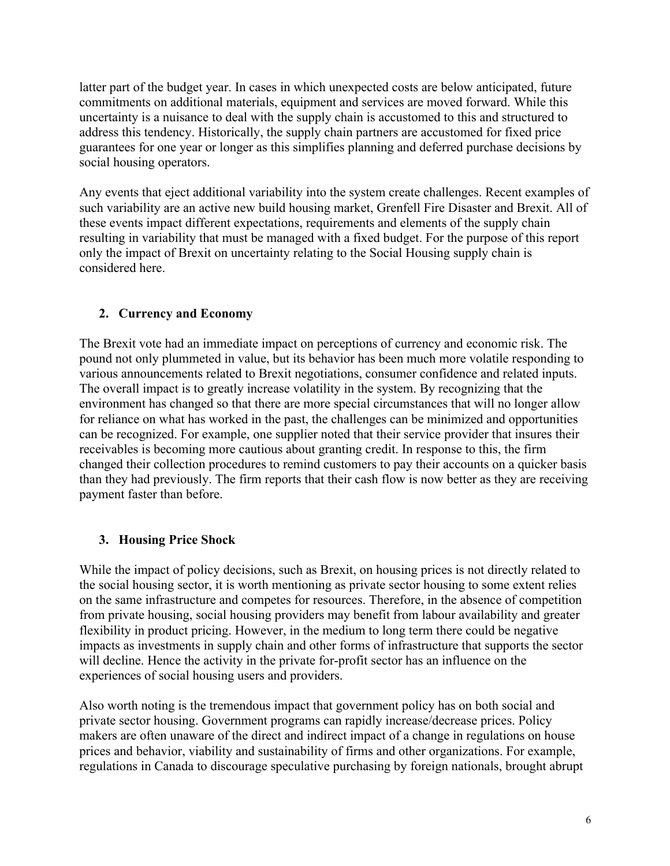latter part of the budget year. In cases in which unexpected costs are below anticipated, future commitments on additional materials, equipment and services are moved forward. While this uncertainty is a nuisance to deal with the supply chain is accustomed to this and structured to address this tendency. Historically, the supply chain partners are accustomed for fixed price guarantees for one year or longer as this simplifies planning and deferred purchase decisions by social housing operators.

Any events that eject additional variability into the system create challenges. Recent examples of such variability are an active new build housing market, Grenfell Fire Disaster and Brexit. All of these events impact different expectations, requirements and elements of the supply chain resulting in variability that must be managed with a fixed budget. For the purpose of this report only the impact of Brexit on uncertainty relating to the Social Housing supply chain is considered here.

#### **2. Currency and Economy**

The Brexit vote had an immediate impact on perceptions of currency and economic risk. The pound not only plummeted in value, but its behavior has been much more volatile responding to various announcements related to Brexit negotiations, consumer confidence and related inputs. The overall impact is to greatly increase volatility in the system. By recognizing that the environment has changed so that there are more special circumstances that will no longer allow for reliance on what has worked in the past, the challenges can be minimized and opportunities can be recognized. For example, one supplier noted that their service provider that insures their receivables is becoming more cautious about granting credit. In response to this, the firm changed their collection procedures to remind customers to pay their accounts on a quicker basis than they had previously. The firm reports that their cash flow is now better as they are receiving payment faster than before.

#### **3. Housing Price Shock**

While the impact of policy decisions, such as Brexit, on housing prices is not directly related to the social housing sector, it is worth mentioning as private sector housing to some extent relies on the same infrastructure and competes for resources. Therefore, in the absence of competition from private housing, social housing providers may benefit from labour availability and greater flexibility in product pricing. However, in the medium to long term there could be negative impacts as investments in supply chain and other forms of infrastructure that supports the sector will decline. Hence the activity in the private for-profit sector has an influence on the experiences of social housing users and providers.

Also worth noting is the tremendous impact that government policy has on both social and private sector housing. Government programs can rapidly increase/decrease prices. Policy makers are often unaware of the direct and indirect impact of a change in regulations on house prices and behavior, viability and sustainability of firms and other organizations. For example, regulations in Canada to discourage speculative purchasing by foreign nationals, brought abrupt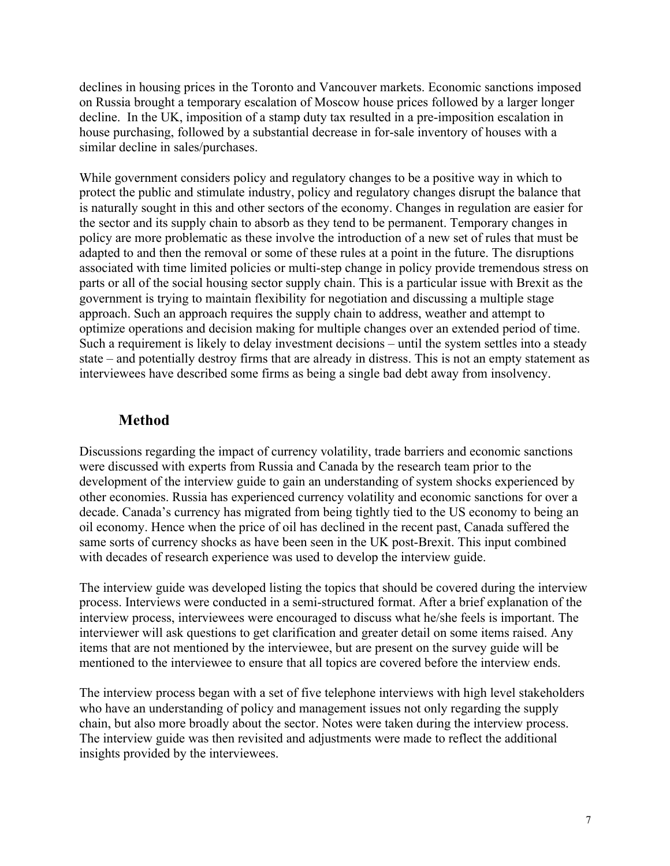declines in housing prices in the Toronto and Vancouver markets. Economic sanctions imposed on Russia brought a temporary escalation of Moscow house prices followed by a larger longer decline. In the UK, imposition of a stamp duty tax resulted in a pre-imposition escalation in house purchasing, followed by a substantial decrease in for-sale inventory of houses with a similar decline in sales/purchases.

While government considers policy and regulatory changes to be a positive way in which to protect the public and stimulate industry, policy and regulatory changes disrupt the balance that is naturally sought in this and other sectors of the economy. Changes in regulation are easier for the sector and its supply chain to absorb as they tend to be permanent. Temporary changes in policy are more problematic as these involve the introduction of a new set of rules that must be adapted to and then the removal or some of these rules at a point in the future. The disruptions associated with time limited policies or multi-step change in policy provide tremendous stress on parts or all of the social housing sector supply chain. This is a particular issue with Brexit as the government is trying to maintain flexibility for negotiation and discussing a multiple stage approach. Such an approach requires the supply chain to address, weather and attempt to optimize operations and decision making for multiple changes over an extended period of time. Such a requirement is likely to delay investment decisions – until the system settles into a steady state – and potentially destroy firms that are already in distress. This is not an empty statement as interviewees have described some firms as being a single bad debt away from insolvency.

#### **Method**

Discussions regarding the impact of currency volatility, trade barriers and economic sanctions were discussed with experts from Russia and Canada by the research team prior to the development of the interview guide to gain an understanding of system shocks experienced by other economies. Russia has experienced currency volatility and economic sanctions for over a decade. Canada's currency has migrated from being tightly tied to the US economy to being an oil economy. Hence when the price of oil has declined in the recent past, Canada suffered the same sorts of currency shocks as have been seen in the UK post-Brexit. This input combined with decades of research experience was used to develop the interview guide.

The interview guide was developed listing the topics that should be covered during the interview process. Interviews were conducted in a semi-structured format. After a brief explanation of the interview process, interviewees were encouraged to discuss what he/she feels is important. The interviewer will ask questions to get clarification and greater detail on some items raised. Any items that are not mentioned by the interviewee, but are present on the survey guide will be mentioned to the interviewee to ensure that all topics are covered before the interview ends.

The interview process began with a set of five telephone interviews with high level stakeholders who have an understanding of policy and management issues not only regarding the supply chain, but also more broadly about the sector. Notes were taken during the interview process. The interview guide was then revisited and adjustments were made to reflect the additional insights provided by the interviewees.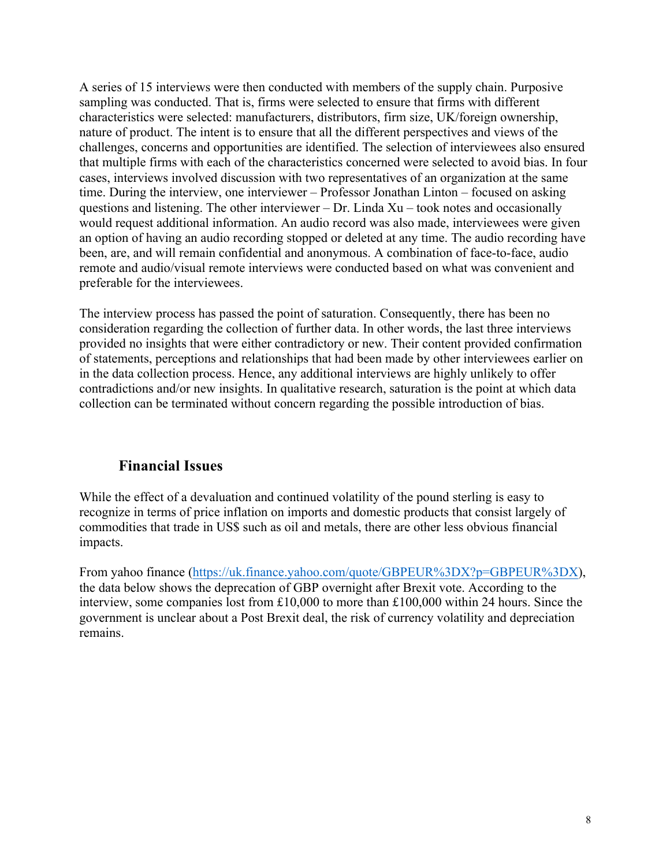A series of 15 interviews were then conducted with members of the supply chain. Purposive sampling was conducted. That is, firms were selected to ensure that firms with different characteristics were selected: manufacturers, distributors, firm size, UK/foreign ownership, nature of product. The intent is to ensure that all the different perspectives and views of the challenges, concerns and opportunities are identified. The selection of interviewees also ensured that multiple firms with each of the characteristics concerned were selected to avoid bias. In four cases, interviews involved discussion with two representatives of an organization at the same time. During the interview, one interviewer – Professor Jonathan Linton – focused on asking questions and listening. The other interviewer – Dr. Linda  $Xu$  – took notes and occasionally would request additional information. An audio record was also made, interviewees were given an option of having an audio recording stopped or deleted at any time. The audio recording have been, are, and will remain confidential and anonymous. A combination of face-to-face, audio remote and audio/visual remote interviews were conducted based on what was convenient and preferable for the interviewees.

The interview process has passed the point of saturation. Consequently, there has been no consideration regarding the collection of further data. In other words, the last three interviews provided no insights that were either contradictory or new. Their content provided confirmation of statements, perceptions and relationships that had been made by other interviewees earlier on in the data collection process. Hence, any additional interviews are highly unlikely to offer contradictions and/or new insights. In qualitative research, saturation is the point at which data collection can be terminated without concern regarding the possible introduction of bias.

#### **Financial Issues**

While the effect of a devaluation and continued volatility of the pound sterling is easy to recognize in terms of price inflation on imports and domestic products that consist largely of commodities that trade in US\$ such as oil and metals, there are other less obvious financial impacts.

From yahoo finance (https://uk.finance.yahoo.com/quote/GBPEUR%3DX?p=GBPEUR%3DX), the data below shows the deprecation of GBP overnight after Brexit vote. According to the interview, some companies lost from £10,000 to more than £100,000 within 24 hours. Since the government is unclear about a Post Brexit deal, the risk of currency volatility and depreciation remains.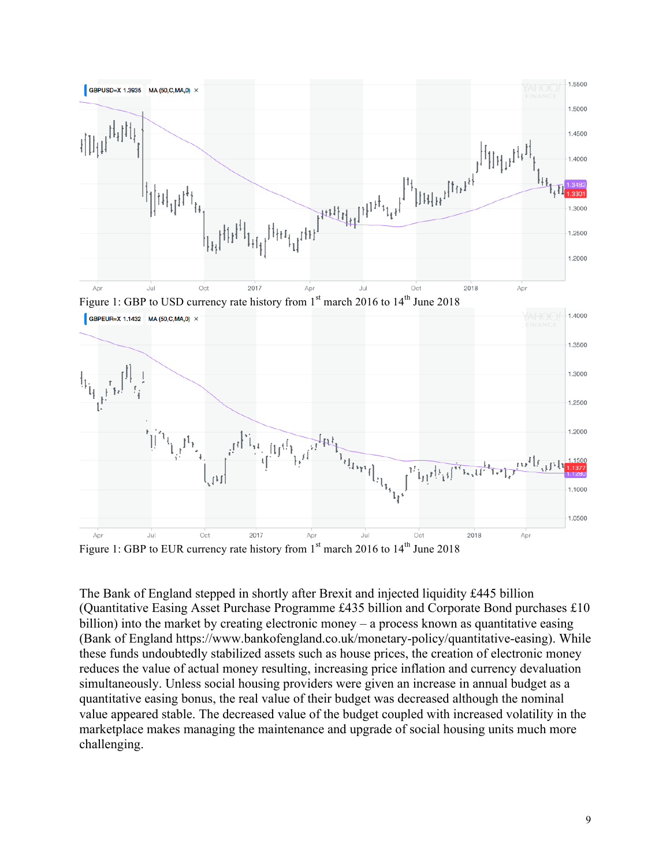

Figure 1: GBP to EUR currency rate history from  $1<sup>st</sup>$  march 2016 to  $14<sup>th</sup>$  June 2018

The Bank of England stepped in shortly after Brexit and injected liquidity £445 billion (Quantitative Easing Asset Purchase Programme £435 billion and Corporate Bond purchases £10 billion) into the market by creating electronic money – a process known as quantitative easing (Bank of England https://www.bankofengland.co.uk/monetary-policy/quantitative-easing). While these funds undoubtedly stabilized assets such as house prices, the creation of electronic money reduces the value of actual money resulting, increasing price inflation and currency devaluation simultaneously. Unless social housing providers were given an increase in annual budget as a quantitative easing bonus, the real value of their budget was decreased although the nominal value appeared stable. The decreased value of the budget coupled with increased volatility in the marketplace makes managing the maintenance and upgrade of social housing units much more challenging.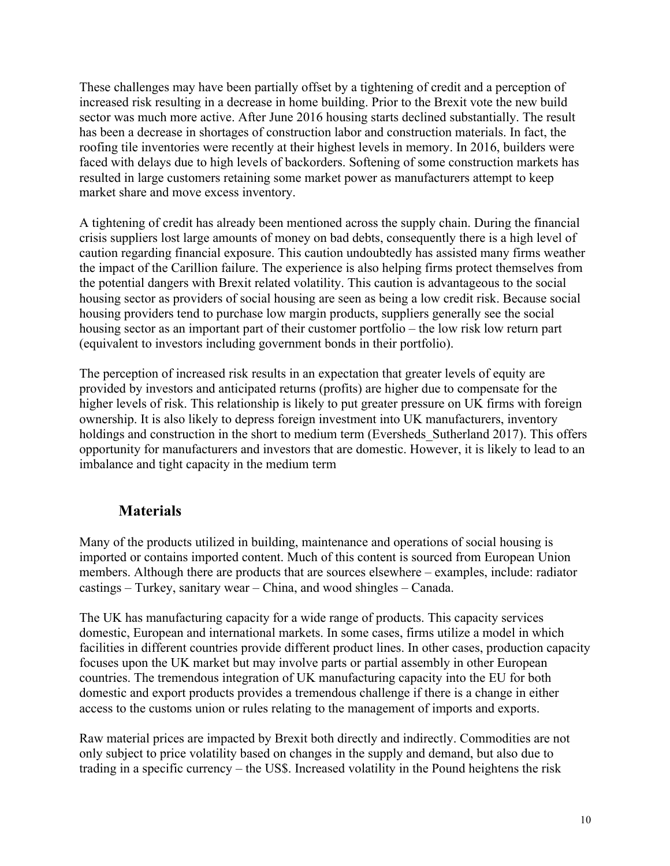These challenges may have been partially offset by a tightening of credit and a perception of increased risk resulting in a decrease in home building. Prior to the Brexit vote the new build sector was much more active. After June 2016 housing starts declined substantially. The result has been a decrease in shortages of construction labor and construction materials. In fact, the roofing tile inventories were recently at their highest levels in memory. In 2016, builders were faced with delays due to high levels of backorders. Softening of some construction markets has resulted in large customers retaining some market power as manufacturers attempt to keep market share and move excess inventory.

A tightening of credit has already been mentioned across the supply chain. During the financial crisis suppliers lost large amounts of money on bad debts, consequently there is a high level of caution regarding financial exposure. This caution undoubtedly has assisted many firms weather the impact of the Carillion failure. The experience is also helping firms protect themselves from the potential dangers with Brexit related volatility. This caution is advantageous to the social housing sector as providers of social housing are seen as being a low credit risk. Because social housing providers tend to purchase low margin products, suppliers generally see the social housing sector as an important part of their customer portfolio – the low risk low return part (equivalent to investors including government bonds in their portfolio).

The perception of increased risk results in an expectation that greater levels of equity are provided by investors and anticipated returns (profits) are higher due to compensate for the higher levels of risk. This relationship is likely to put greater pressure on UK firms with foreign ownership. It is also likely to depress foreign investment into UK manufacturers, inventory holdings and construction in the short to medium term (Eversheds Sutherland 2017). This offers opportunity for manufacturers and investors that are domestic. However, it is likely to lead to an imbalance and tight capacity in the medium term

#### **Materials**

Many of the products utilized in building, maintenance and operations of social housing is imported or contains imported content. Much of this content is sourced from European Union members. Although there are products that are sources elsewhere – examples, include: radiator castings – Turkey, sanitary wear – China, and wood shingles – Canada.

The UK has manufacturing capacity for a wide range of products. This capacity services domestic, European and international markets. In some cases, firms utilize a model in which facilities in different countries provide different product lines. In other cases, production capacity focuses upon the UK market but may involve parts or partial assembly in other European countries. The tremendous integration of UK manufacturing capacity into the EU for both domestic and export products provides a tremendous challenge if there is a change in either access to the customs union or rules relating to the management of imports and exports.

Raw material prices are impacted by Brexit both directly and indirectly. Commodities are not only subject to price volatility based on changes in the supply and demand, but also due to trading in a specific currency – the US\$. Increased volatility in the Pound heightens the risk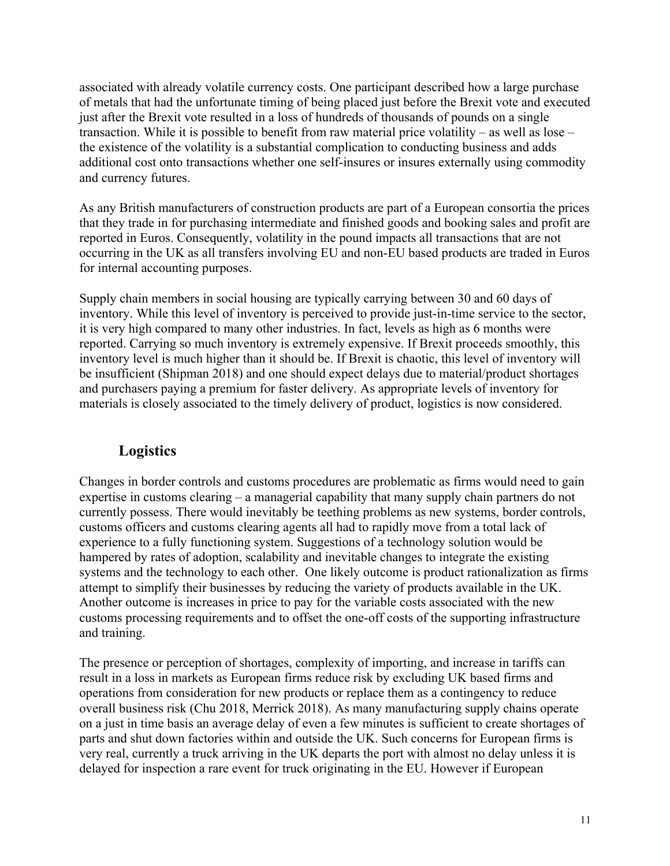associated with already volatile currency costs. One participant described how a large purchase of metals that had the unfortunate timing of being placed just before the Brexit vote and executed just after the Brexit vote resulted in a loss of hundreds of thousands of pounds on a single transaction. While it is possible to benefit from raw material price volatility – as well as lose – the existence of the volatility is a substantial complication to conducting business and adds additional cost onto transactions whether one self-insures or insures externally using commodity and currency futures.

As any British manufacturers of construction products are part of a European consortia the prices that they trade in for purchasing intermediate and finished goods and booking sales and profit are reported in Euros. Consequently, volatility in the pound impacts all transactions that are not occurring in the UK as all transfers involving EU and non-EU based products are traded in Euros for internal accounting purposes.

Supply chain members in social housing are typically carrying between 30 and 60 days of inventory. While this level of inventory is perceived to provide just-in-time service to the sector, it is very high compared to many other industries. In fact, levels as high as 6 months were reported. Carrying so much inventory is extremely expensive. If Brexit proceeds smoothly, this inventory level is much higher than it should be. If Brexit is chaotic, this level of inventory will be insufficient (Shipman 2018) and one should expect delays due to material/product shortages and purchasers paying a premium for faster delivery. As appropriate levels of inventory for materials is closely associated to the timely delivery of product, logistics is now considered.

#### **Logistics**

Changes in border controls and customs procedures are problematic as firms would need to gain expertise in customs clearing – a managerial capability that many supply chain partners do not currently possess. There would inevitably be teething problems as new systems, border controls, customs officers and customs clearing agents all had to rapidly move from a total lack of experience to a fully functioning system. Suggestions of a technology solution would be hampered by rates of adoption, scalability and inevitable changes to integrate the existing systems and the technology to each other. One likely outcome is product rationalization as firms attempt to simplify their businesses by reducing the variety of products available in the UK. Another outcome is increases in price to pay for the variable costs associated with the new customs processing requirements and to offset the one-off costs of the supporting infrastructure and training.

The presence or perception of shortages, complexity of importing, and increase in tariffs can result in a loss in markets as European firms reduce risk by excluding UK based firms and operations from consideration for new products or replace them as a contingency to reduce overall business risk (Chu 2018, Merrick 2018). As many manufacturing supply chains operate on a just in time basis an average delay of even a few minutes is sufficient to create shortages of parts and shut down factories within and outside the UK. Such concerns for European firms is very real, currently a truck arriving in the UK departs the port with almost no delay unless it is delayed for inspection a rare event for truck originating in the EU. However if European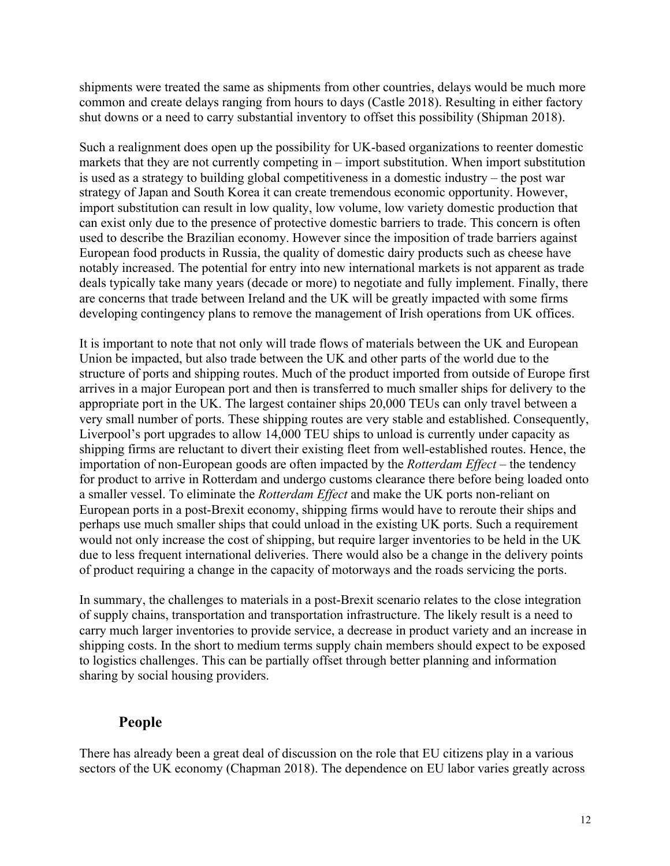shipments were treated the same as shipments from other countries, delays would be much more common and create delays ranging from hours to days (Castle 2018). Resulting in either factory shut downs or a need to carry substantial inventory to offset this possibility (Shipman 2018).

Such a realignment does open up the possibility for UK-based organizations to reenter domestic markets that they are not currently competing in – import substitution. When import substitution is used as a strategy to building global competitiveness in a domestic industry – the post war strategy of Japan and South Korea it can create tremendous economic opportunity. However, import substitution can result in low quality, low volume, low variety domestic production that can exist only due to the presence of protective domestic barriers to trade. This concern is often used to describe the Brazilian economy. However since the imposition of trade barriers against European food products in Russia, the quality of domestic dairy products such as cheese have notably increased. The potential for entry into new international markets is not apparent as trade deals typically take many years (decade or more) to negotiate and fully implement. Finally, there are concerns that trade between Ireland and the UK will be greatly impacted with some firms developing contingency plans to remove the management of Irish operations from UK offices.

It is important to note that not only will trade flows of materials between the UK and European Union be impacted, but also trade between the UK and other parts of the world due to the structure of ports and shipping routes. Much of the product imported from outside of Europe first arrives in a major European port and then is transferred to much smaller ships for delivery to the appropriate port in the UK. The largest container ships 20,000 TEUs can only travel between a very small number of ports. These shipping routes are very stable and established. Consequently, Liverpool's port upgrades to allow 14,000 TEU ships to unload is currently under capacity as shipping firms are reluctant to divert their existing fleet from well-established routes. Hence, the importation of non-European goods are often impacted by the *Rotterdam Effect* – the tendency for product to arrive in Rotterdam and undergo customs clearance there before being loaded onto a smaller vessel. To eliminate the *Rotterdam Effect* and make the UK ports non-reliant on European ports in a post-Brexit economy, shipping firms would have to reroute their ships and perhaps use much smaller ships that could unload in the existing UK ports. Such a requirement would not only increase the cost of shipping, but require larger inventories to be held in the UK due to less frequent international deliveries. There would also be a change in the delivery points of product requiring a change in the capacity of motorways and the roads servicing the ports.

In summary, the challenges to materials in a post-Brexit scenario relates to the close integration of supply chains, transportation and transportation infrastructure. The likely result is a need to carry much larger inventories to provide service, a decrease in product variety and an increase in shipping costs. In the short to medium terms supply chain members should expect to be exposed to logistics challenges. This can be partially offset through better planning and information sharing by social housing providers.

#### **People**

There has already been a great deal of discussion on the role that EU citizens play in a various sectors of the UK economy (Chapman 2018). The dependence on EU labor varies greatly across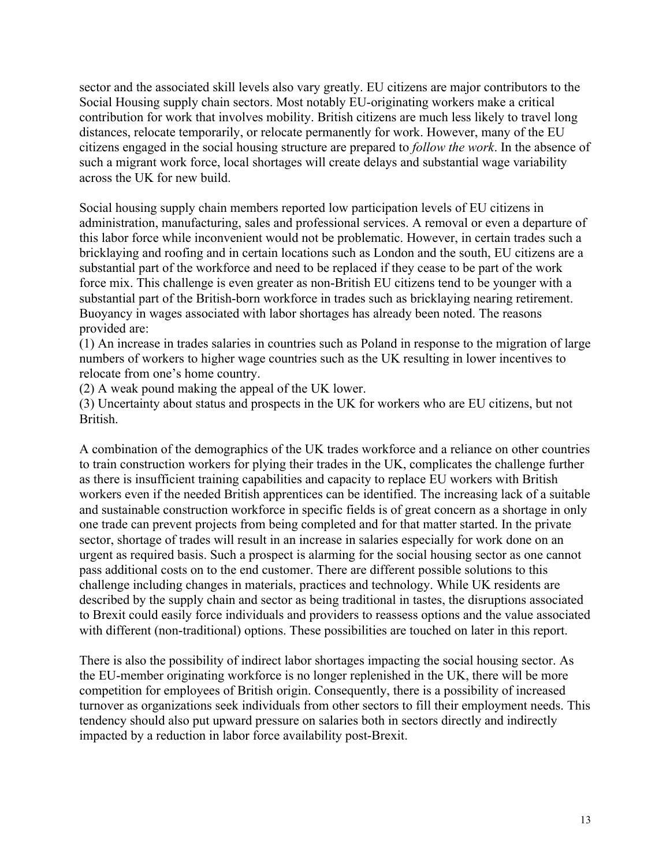sector and the associated skill levels also vary greatly. EU citizens are major contributors to the Social Housing supply chain sectors. Most notably EU-originating workers make a critical contribution for work that involves mobility. British citizens are much less likely to travel long distances, relocate temporarily, or relocate permanently for work. However, many of the EU citizens engaged in the social housing structure are prepared to *follow the work*. In the absence of such a migrant work force, local shortages will create delays and substantial wage variability across the UK for new build.

Social housing supply chain members reported low participation levels of EU citizens in administration, manufacturing, sales and professional services. A removal or even a departure of this labor force while inconvenient would not be problematic. However, in certain trades such a bricklaying and roofing and in certain locations such as London and the south, EU citizens are a substantial part of the workforce and need to be replaced if they cease to be part of the work force mix. This challenge is even greater as non-British EU citizens tend to be younger with a substantial part of the British-born workforce in trades such as bricklaying nearing retirement. Buoyancy in wages associated with labor shortages has already been noted. The reasons provided are:

(1) An increase in trades salaries in countries such as Poland in response to the migration of large numbers of workers to higher wage countries such as the UK resulting in lower incentives to relocate from one's home country.

(2) A weak pound making the appeal of the UK lower.

(3) Uncertainty about status and prospects in the UK for workers who are EU citizens, but not **British** 

A combination of the demographics of the UK trades workforce and a reliance on other countries to train construction workers for plying their trades in the UK, complicates the challenge further as there is insufficient training capabilities and capacity to replace EU workers with British workers even if the needed British apprentices can be identified. The increasing lack of a suitable and sustainable construction workforce in specific fields is of great concern as a shortage in only one trade can prevent projects from being completed and for that matter started. In the private sector, shortage of trades will result in an increase in salaries especially for work done on an urgent as required basis. Such a prospect is alarming for the social housing sector as one cannot pass additional costs on to the end customer. There are different possible solutions to this challenge including changes in materials, practices and technology. While UK residents are described by the supply chain and sector as being traditional in tastes, the disruptions associated to Brexit could easily force individuals and providers to reassess options and the value associated with different (non-traditional) options. These possibilities are touched on later in this report.

There is also the possibility of indirect labor shortages impacting the social housing sector. As the EU-member originating workforce is no longer replenished in the UK, there will be more competition for employees of British origin. Consequently, there is a possibility of increased turnover as organizations seek individuals from other sectors to fill their employment needs. This tendency should also put upward pressure on salaries both in sectors directly and indirectly impacted by a reduction in labor force availability post-Brexit.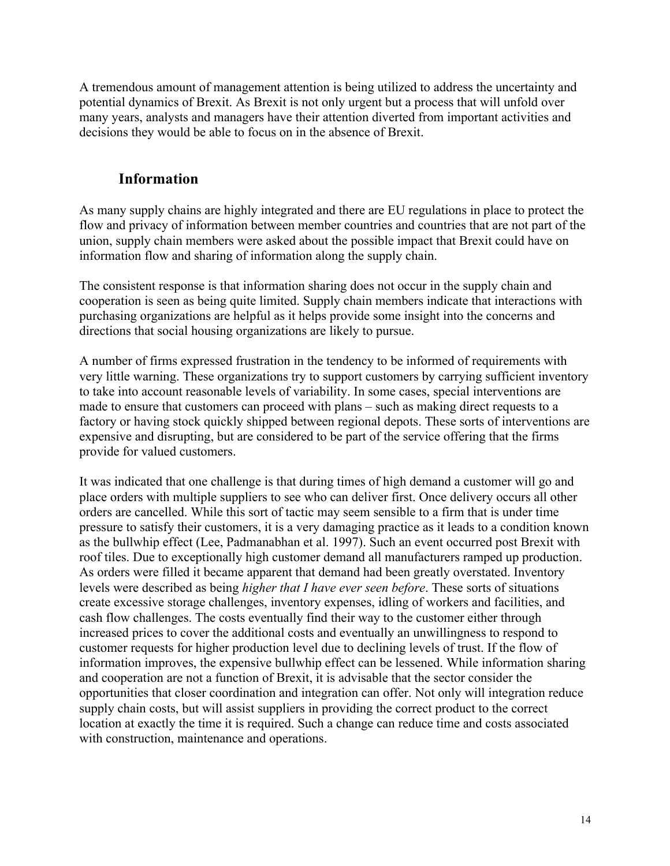A tremendous amount of management attention is being utilized to address the uncertainty and potential dynamics of Brexit. As Brexit is not only urgent but a process that will unfold over many years, analysts and managers have their attention diverted from important activities and decisions they would be able to focus on in the absence of Brexit.

#### **Information**

As many supply chains are highly integrated and there are EU regulations in place to protect the flow and privacy of information between member countries and countries that are not part of the union, supply chain members were asked about the possible impact that Brexit could have on information flow and sharing of information along the supply chain.

The consistent response is that information sharing does not occur in the supply chain and cooperation is seen as being quite limited. Supply chain members indicate that interactions with purchasing organizations are helpful as it helps provide some insight into the concerns and directions that social housing organizations are likely to pursue.

A number of firms expressed frustration in the tendency to be informed of requirements with very little warning. These organizations try to support customers by carrying sufficient inventory to take into account reasonable levels of variability. In some cases, special interventions are made to ensure that customers can proceed with plans – such as making direct requests to a factory or having stock quickly shipped between regional depots. These sorts of interventions are expensive and disrupting, but are considered to be part of the service offering that the firms provide for valued customers.

It was indicated that one challenge is that during times of high demand a customer will go and place orders with multiple suppliers to see who can deliver first. Once delivery occurs all other orders are cancelled. While this sort of tactic may seem sensible to a firm that is under time pressure to satisfy their customers, it is a very damaging practice as it leads to a condition known as the bullwhip effect (Lee, Padmanabhan et al. 1997). Such an event occurred post Brexit with roof tiles. Due to exceptionally high customer demand all manufacturers ramped up production. As orders were filled it became apparent that demand had been greatly overstated. Inventory levels were described as being *higher that I have ever seen before*. These sorts of situations create excessive storage challenges, inventory expenses, idling of workers and facilities, and cash flow challenges. The costs eventually find their way to the customer either through increased prices to cover the additional costs and eventually an unwillingness to respond to customer requests for higher production level due to declining levels of trust. If the flow of information improves, the expensive bullwhip effect can be lessened. While information sharing and cooperation are not a function of Brexit, it is advisable that the sector consider the opportunities that closer coordination and integration can offer. Not only will integration reduce supply chain costs, but will assist suppliers in providing the correct product to the correct location at exactly the time it is required. Such a change can reduce time and costs associated with construction, maintenance and operations.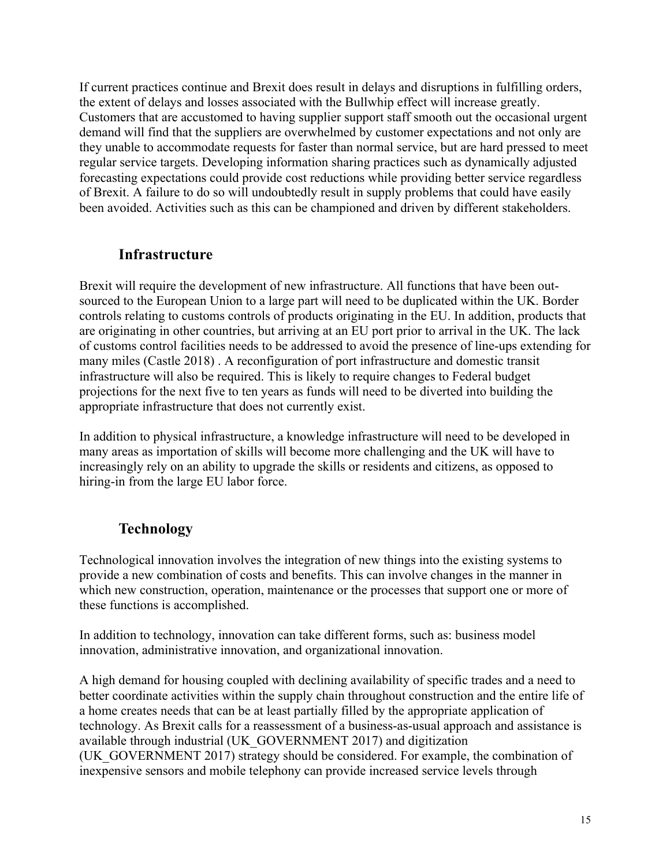If current practices continue and Brexit does result in delays and disruptions in fulfilling orders, the extent of delays and losses associated with the Bullwhip effect will increase greatly. Customers that are accustomed to having supplier support staff smooth out the occasional urgent demand will find that the suppliers are overwhelmed by customer expectations and not only are they unable to accommodate requests for faster than normal service, but are hard pressed to meet regular service targets. Developing information sharing practices such as dynamically adjusted forecasting expectations could provide cost reductions while providing better service regardless of Brexit. A failure to do so will undoubtedly result in supply problems that could have easily been avoided. Activities such as this can be championed and driven by different stakeholders.

#### **Infrastructure**

Brexit will require the development of new infrastructure. All functions that have been outsourced to the European Union to a large part will need to be duplicated within the UK. Border controls relating to customs controls of products originating in the EU. In addition, products that are originating in other countries, but arriving at an EU port prior to arrival in the UK. The lack of customs control facilities needs to be addressed to avoid the presence of line-ups extending for many miles (Castle 2018) . A reconfiguration of port infrastructure and domestic transit infrastructure will also be required. This is likely to require changes to Federal budget projections for the next five to ten years as funds will need to be diverted into building the appropriate infrastructure that does not currently exist.

In addition to physical infrastructure, a knowledge infrastructure will need to be developed in many areas as importation of skills will become more challenging and the UK will have to increasingly rely on an ability to upgrade the skills or residents and citizens, as opposed to hiring-in from the large EU labor force.

# **Technology**

Technological innovation involves the integration of new things into the existing systems to provide a new combination of costs and benefits. This can involve changes in the manner in which new construction, operation, maintenance or the processes that support one or more of these functions is accomplished.

In addition to technology, innovation can take different forms, such as: business model innovation, administrative innovation, and organizational innovation.

A high demand for housing coupled with declining availability of specific trades and a need to better coordinate activities within the supply chain throughout construction and the entire life of a home creates needs that can be at least partially filled by the appropriate application of technology. As Brexit calls for a reassessment of a business-as-usual approach and assistance is available through industrial (UK\_GOVERNMENT 2017) and digitization (UK\_GOVERNMENT 2017) strategy should be considered. For example, the combination of inexpensive sensors and mobile telephony can provide increased service levels through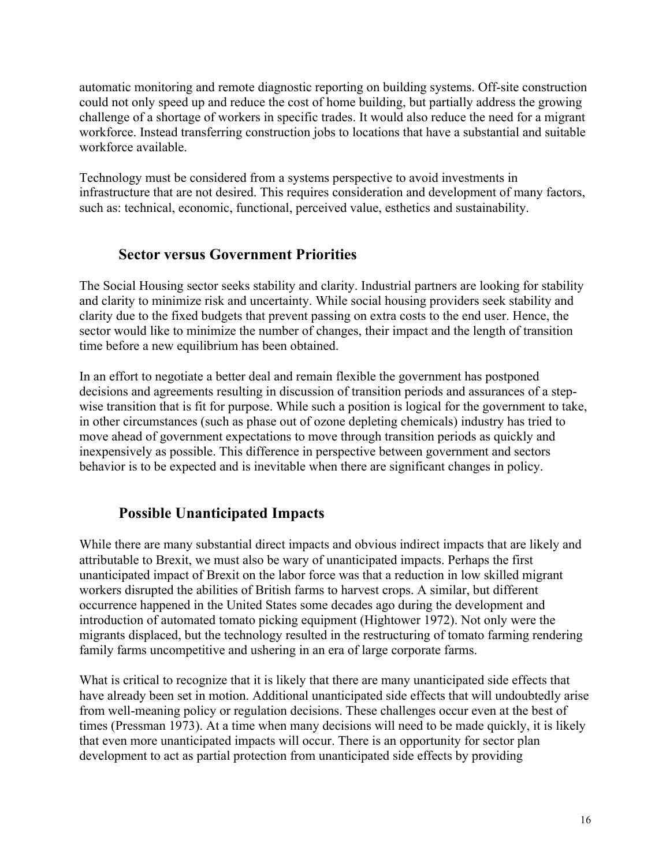automatic monitoring and remote diagnostic reporting on building systems. Off-site construction could not only speed up and reduce the cost of home building, but partially address the growing challenge of a shortage of workers in specific trades. It would also reduce the need for a migrant workforce. Instead transferring construction jobs to locations that have a substantial and suitable workforce available.

Technology must be considered from a systems perspective to avoid investments in infrastructure that are not desired. This requires consideration and development of many factors, such as: technical, economic, functional, perceived value, esthetics and sustainability.

#### **Sector versus Government Priorities**

The Social Housing sector seeks stability and clarity. Industrial partners are looking for stability and clarity to minimize risk and uncertainty. While social housing providers seek stability and clarity due to the fixed budgets that prevent passing on extra costs to the end user. Hence, the sector would like to minimize the number of changes, their impact and the length of transition time before a new equilibrium has been obtained.

In an effort to negotiate a better deal and remain flexible the government has postponed decisions and agreements resulting in discussion of transition periods and assurances of a stepwise transition that is fit for purpose. While such a position is logical for the government to take, in other circumstances (such as phase out of ozone depleting chemicals) industry has tried to move ahead of government expectations to move through transition periods as quickly and inexpensively as possible. This difference in perspective between government and sectors behavior is to be expected and is inevitable when there are significant changes in policy.

#### **Possible Unanticipated Impacts**

While there are many substantial direct impacts and obvious indirect impacts that are likely and attributable to Brexit, we must also be wary of unanticipated impacts. Perhaps the first unanticipated impact of Brexit on the labor force was that a reduction in low skilled migrant workers disrupted the abilities of British farms to harvest crops. A similar, but different occurrence happened in the United States some decades ago during the development and introduction of automated tomato picking equipment (Hightower 1972). Not only were the migrants displaced, but the technology resulted in the restructuring of tomato farming rendering family farms uncompetitive and ushering in an era of large corporate farms.

What is critical to recognize that it is likely that there are many unanticipated side effects that have already been set in motion. Additional unanticipated side effects that will undoubtedly arise from well-meaning policy or regulation decisions. These challenges occur even at the best of times (Pressman 1973). At a time when many decisions will need to be made quickly, it is likely that even more unanticipated impacts will occur. There is an opportunity for sector plan development to act as partial protection from unanticipated side effects by providing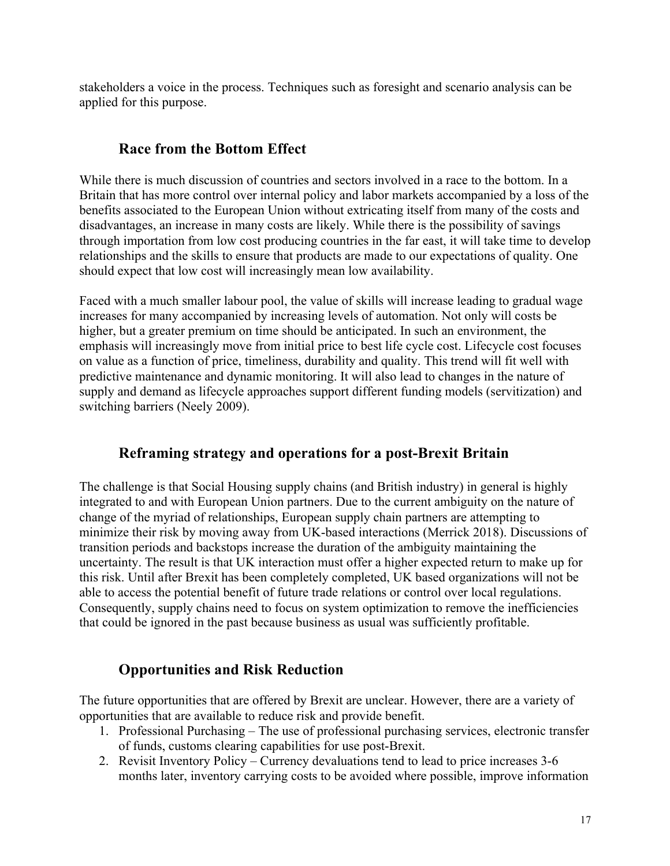stakeholders a voice in the process. Techniques such as foresight and scenario analysis can be applied for this purpose.

# **Race from the Bottom Effect**

While there is much discussion of countries and sectors involved in a race to the bottom. In a Britain that has more control over internal policy and labor markets accompanied by a loss of the benefits associated to the European Union without extricating itself from many of the costs and disadvantages, an increase in many costs are likely. While there is the possibility of savings through importation from low cost producing countries in the far east, it will take time to develop relationships and the skills to ensure that products are made to our expectations of quality. One should expect that low cost will increasingly mean low availability.

Faced with a much smaller labour pool, the value of skills will increase leading to gradual wage increases for many accompanied by increasing levels of automation. Not only will costs be higher, but a greater premium on time should be anticipated. In such an environment, the emphasis will increasingly move from initial price to best life cycle cost. Lifecycle cost focuses on value as a function of price, timeliness, durability and quality. This trend will fit well with predictive maintenance and dynamic monitoring. It will also lead to changes in the nature of supply and demand as lifecycle approaches support different funding models (servitization) and switching barriers (Neely 2009).

# **Reframing strategy and operations for a post-Brexit Britain**

The challenge is that Social Housing supply chains (and British industry) in general is highly integrated to and with European Union partners. Due to the current ambiguity on the nature of change of the myriad of relationships, European supply chain partners are attempting to minimize their risk by moving away from UK-based interactions (Merrick 2018). Discussions of transition periods and backstops increase the duration of the ambiguity maintaining the uncertainty. The result is that UK interaction must offer a higher expected return to make up for this risk. Until after Brexit has been completely completed, UK based organizations will not be able to access the potential benefit of future trade relations or control over local regulations. Consequently, supply chains need to focus on system optimization to remove the inefficiencies that could be ignored in the past because business as usual was sufficiently profitable.

# **Opportunities and Risk Reduction**

The future opportunities that are offered by Brexit are unclear. However, there are a variety of opportunities that are available to reduce risk and provide benefit.

- 1. Professional Purchasing The use of professional purchasing services, electronic transfer of funds, customs clearing capabilities for use post-Brexit.
- 2. Revisit Inventory Policy Currency devaluations tend to lead to price increases 3-6 months later, inventory carrying costs to be avoided where possible, improve information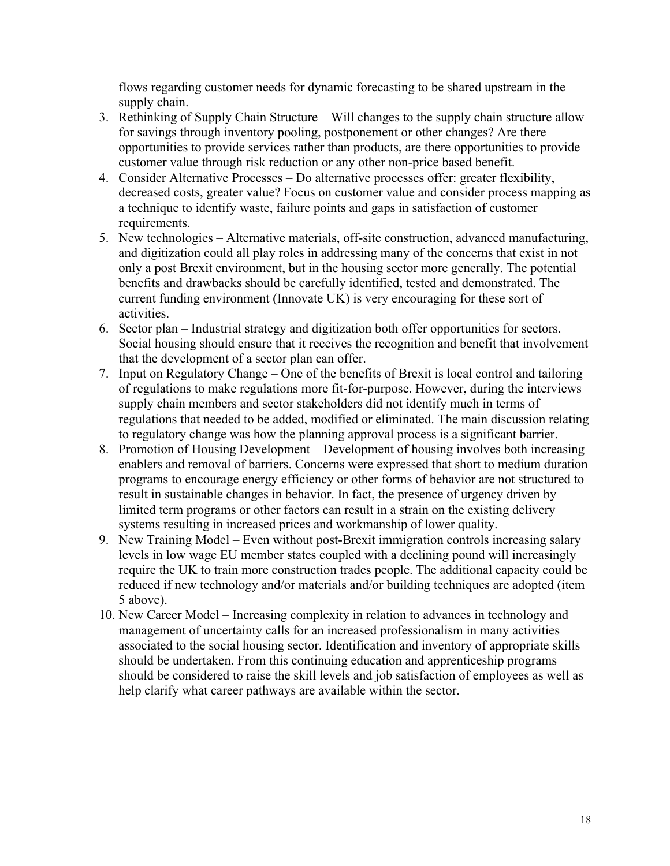flows regarding customer needs for dynamic forecasting to be shared upstream in the supply chain.

- 3. Rethinking of Supply Chain Structure Will changes to the supply chain structure allow for savings through inventory pooling, postponement or other changes? Are there opportunities to provide services rather than products, are there opportunities to provide customer value through risk reduction or any other non-price based benefit.
- 4. Consider Alternative Processes Do alternative processes offer: greater flexibility, decreased costs, greater value? Focus on customer value and consider process mapping as a technique to identify waste, failure points and gaps in satisfaction of customer requirements.
- 5. New technologies Alternative materials, off-site construction, advanced manufacturing, and digitization could all play roles in addressing many of the concerns that exist in not only a post Brexit environment, but in the housing sector more generally. The potential benefits and drawbacks should be carefully identified, tested and demonstrated. The current funding environment (Innovate UK) is very encouraging for these sort of activities.
- 6. Sector plan Industrial strategy and digitization both offer opportunities for sectors. Social housing should ensure that it receives the recognition and benefit that involvement that the development of a sector plan can offer.
- 7. Input on Regulatory Change One of the benefits of Brexit is local control and tailoring of regulations to make regulations more fit-for-purpose. However, during the interviews supply chain members and sector stakeholders did not identify much in terms of regulations that needed to be added, modified or eliminated. The main discussion relating to regulatory change was how the planning approval process is a significant barrier.
- 8. Promotion of Housing Development Development of housing involves both increasing enablers and removal of barriers. Concerns were expressed that short to medium duration programs to encourage energy efficiency or other forms of behavior are not structured to result in sustainable changes in behavior. In fact, the presence of urgency driven by limited term programs or other factors can result in a strain on the existing delivery systems resulting in increased prices and workmanship of lower quality.
- 9. New Training Model Even without post-Brexit immigration controls increasing salary levels in low wage EU member states coupled with a declining pound will increasingly require the UK to train more construction trades people. The additional capacity could be reduced if new technology and/or materials and/or building techniques are adopted (item 5 above).
- 10. New Career Model Increasing complexity in relation to advances in technology and management of uncertainty calls for an increased professionalism in many activities associated to the social housing sector. Identification and inventory of appropriate skills should be undertaken. From this continuing education and apprenticeship programs should be considered to raise the skill levels and job satisfaction of employees as well as help clarify what career pathways are available within the sector.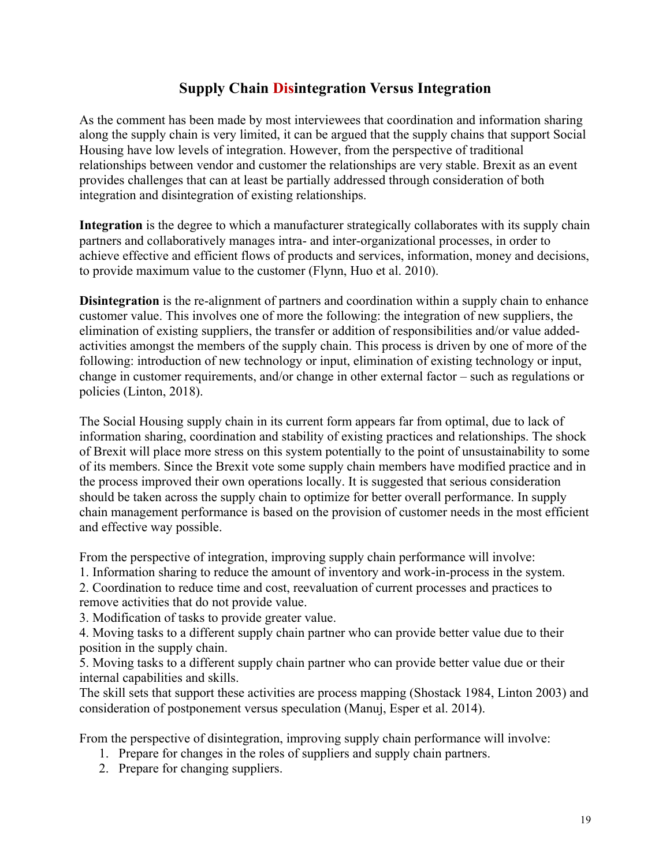# **Supply Chain Disintegration Versus Integration**

As the comment has been made by most interviewees that coordination and information sharing along the supply chain is very limited, it can be argued that the supply chains that support Social Housing have low levels of integration. However, from the perspective of traditional relationships between vendor and customer the relationships are very stable. Brexit as an event provides challenges that can at least be partially addressed through consideration of both integration and disintegration of existing relationships.

**Integration** is the degree to which a manufacturer strategically collaborates with its supply chain partners and collaboratively manages intra- and inter-organizational processes, in order to achieve effective and efficient flows of products and services, information, money and decisions, to provide maximum value to the customer (Flynn, Huo et al. 2010).

**Disintegration** is the re-alignment of partners and coordination within a supply chain to enhance customer value. This involves one of more the following: the integration of new suppliers, the elimination of existing suppliers, the transfer or addition of responsibilities and/or value addedactivities amongst the members of the supply chain. This process is driven by one of more of the following: introduction of new technology or input, elimination of existing technology or input, change in customer requirements, and/or change in other external factor – such as regulations or policies (Linton, 2018).

The Social Housing supply chain in its current form appears far from optimal, due to lack of information sharing, coordination and stability of existing practices and relationships. The shock of Brexit will place more stress on this system potentially to the point of unsustainability to some of its members. Since the Brexit vote some supply chain members have modified practice and in the process improved their own operations locally. It is suggested that serious consideration should be taken across the supply chain to optimize for better overall performance. In supply chain management performance is based on the provision of customer needs in the most efficient and effective way possible.

From the perspective of integration, improving supply chain performance will involve:

1. Information sharing to reduce the amount of inventory and work-in-process in the system.

2. Coordination to reduce time and cost, reevaluation of current processes and practices to remove activities that do not provide value.

3. Modification of tasks to provide greater value.

4. Moving tasks to a different supply chain partner who can provide better value due to their position in the supply chain.

5. Moving tasks to a different supply chain partner who can provide better value due or their internal capabilities and skills.

The skill sets that support these activities are process mapping (Shostack 1984, Linton 2003) and consideration of postponement versus speculation (Manuj, Esper et al. 2014).

From the perspective of disintegration, improving supply chain performance will involve:

- 1. Prepare for changes in the roles of suppliers and supply chain partners.
- 2. Prepare for changing suppliers.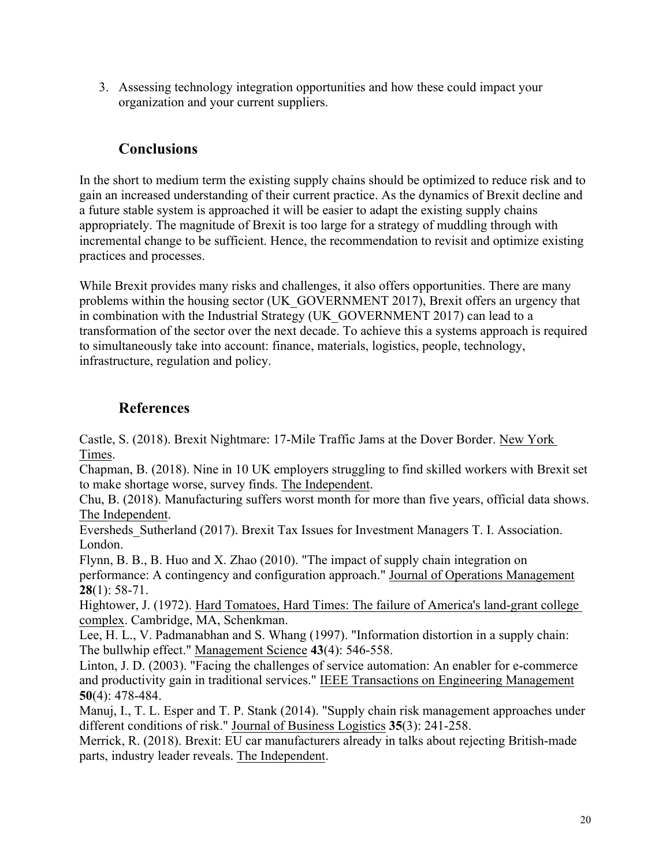3. Assessing technology integration opportunities and how these could impact your organization and your current suppliers.

# **Conclusions**

In the short to medium term the existing supply chains should be optimized to reduce risk and to gain an increased understanding of their current practice. As the dynamics of Brexit decline and a future stable system is approached it will be easier to adapt the existing supply chains appropriately. The magnitude of Brexit is too large for a strategy of muddling through with incremental change to be sufficient. Hence, the recommendation to revisit and optimize existing practices and processes.

While Brexit provides many risks and challenges, it also offers opportunities. There are many problems within the housing sector (UK\_GOVERNMENT 2017), Brexit offers an urgency that in combination with the Industrial Strategy (UK\_GOVERNMENT 2017) can lead to a transformation of the sector over the next decade. To achieve this a systems approach is required to simultaneously take into account: finance, materials, logistics, people, technology, infrastructure, regulation and policy.

# **References**

Castle, S. (2018). Brexit Nightmare: 17-Mile Traffic Jams at the Dover Border. New York Times.

Chapman, B. (2018). Nine in 10 UK employers struggling to find skilled workers with Brexit set to make shortage worse, survey finds. The Independent.

Chu, B. (2018). Manufacturing suffers worst month for more than five years, official data shows. The Independent.

Eversheds\_Sutherland (2017). Brexit Tax Issues for Investment Managers T. I. Association. London.

Flynn, B. B., B. Huo and X. Zhao (2010). "The impact of supply chain integration on performance: A contingency and configuration approach." Journal of Operations Management **28**(1): 58-71.

Hightower, J. (1972). Hard Tomatoes, Hard Times: The failure of America's land-grant college complex. Cambridge, MA, Schenkman.

Lee, H. L., V. Padmanabhan and S. Whang (1997). "Information distortion in a supply chain: The bullwhip effect." Management Science **43**(4): 546-558.

Linton, J. D. (2003). "Facing the challenges of service automation: An enabler for e-commerce and productivity gain in traditional services." IEEE Transactions on Engineering Management **50**(4): 478-484.

Manuj, I., T. L. Esper and T. P. Stank (2014). "Supply chain risk management approaches under different conditions of risk." Journal of Business Logistics **35**(3): 241-258.

Merrick, R. (2018). Brexit: EU car manufacturers already in talks about rejecting British-made parts, industry leader reveals. The Independent.